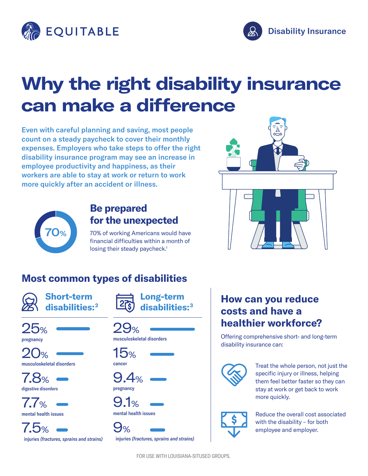



# **Why the right disability insurance can make a difference**

Even with careful planning and saving, most people count on a steady paycheck to cover their monthly expenses. Employers who take steps to offer the right disability insurance program may see an increase in employee productivity and happiness, as their workers are able to stay at work or return to work more quickly after an accident or illness.



### **Be prepared for the unexpected**

70% of working Americans would have financial difficulties within a month of losing their steady paycheck.<sup>1</sup>

# **Most common types of disabilities**



**Short-term disabilities:2**





musculoskeletal disorders

7.8% digestive disorders

7.7% mental health issues



**Long-term**  disabil

29% musculoskeletal disorders







 $9%$ injuries *(fractures, sprains and strains)*

## **How can you reduce costs and have a healthier workforce?**

Offering comprehensive short- and long-term disability insurance can:



Treat the whole person, not just the specific injury or illness, helping them feel better faster so they can stay at work or get back to work more quickly.



Reduce the overall cost associated with the disability – for both employee and employer.

FOR USE WITH LOUISIANA-SITUSED GROUPS.